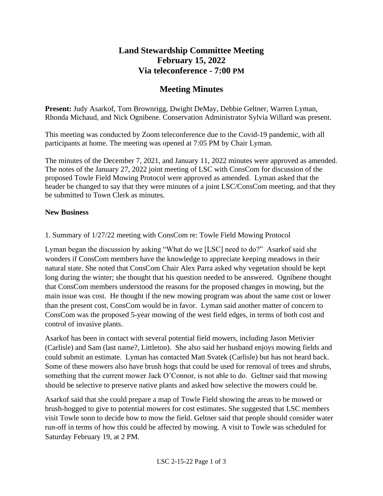## **Land Stewardship Committee Meeting February 15, 2022 Via teleconference - 7:00 PM**

# **Meeting Minutes**

**Present:** Judy Asarkof, Tom Brownrigg, Dwight DeMay, Debbie Geltner, Warren Lyman, Rhonda Michaud, and Nick Ognibene. Conservation Administrator Sylvia Willard was present.

This meeting was conducted by Zoom teleconference due to the Covid-19 pandemic, with all participants at home. The meeting was opened at 7:05 PM by Chair Lyman.

The minutes of the December 7, 2021, and January 11, 2022 minutes were approved as amended. The notes of the January 27, 2022 joint meeting of LSC with ConsCom for discussion of the proposed Towle Field Mowing Protocol were approved as amended. Lyman asked that the header be changed to say that they were minutes of a joint LSC/ConsCom meeting, and that they be submitted to Town Clerk as minutes.

#### **New Business**

1. Summary of 1/27/22 meeting with ConsCom re: Towle Field Mowing Protocol

Lyman began the discussion by asking "What do we [LSC] need to do?" Asarkof said she wonders if ConsCom members have the knowledge to appreciate keeping meadows in their natural state. She noted that ConsCom Chair Alex Parra asked why vegetation should be kept long during the winter; she thought that his question needed to be answered. Ognibene thought that ConsCom members understood the reasons for the proposed changes in mowing, but the main issue was cost. He thought if the new mowing program was about the same cost or lower than the present cost, ConsCom would be in favor. Lyman said another matter of concern to ConsCom was the proposed 5-year mowing of the west field edges, in terms of both cost and control of invasive plants.

Asarkof has been in contact with several potential field mowers, including Jason Metivier (Carlisle) and Sam (last name?, Littleton). She also said her husband enjoys mowing fields and could submit an estimate. Lyman has contacted Matt Svatek (Carlisle) but has not heard back. Some of these mowers also have brush hogs that could be used for removal of trees and shrubs, something that the current mower Jack O'Connor, is not able to do. Geltner said that mowing should be selective to preserve native plants and asked how selective the mowers could be.

Asarkof said that she could prepare a map of Towle Field showing the areas to be mowed or brush-hogged to give to potential mowers for cost estimates. She suggested that LSC members visit Towle soon to decide how to mow the field. Geltner said that people should consider water run-off in terms of how this could be affected by mowing. A visit to Towle was scheduled for Saturday February 19, at 2 PM.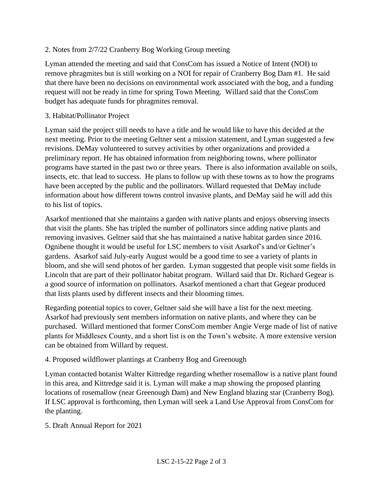### 2. Notes from 2/7/22 Cranberry Bog Working Group meeting

Lyman attended the meeting and said that ConsCom has issued a Notice of Intent (NOI) to remove phragmites but is still working on a NOI for repair of Cranberry Bog Dam #1. He said that there have been no decisions on environmental work associated with the bog, and a funding request will not be ready in time for spring Town Meeting. Willard said that the ConsCom budget has adequate funds for phragmites removal.

#### 3. Habitat/Pollinator Project

Lyman said the project still needs to have a title and he would like to have this decided at the next meeting. Prior to the meeting Geltner sent a mission statement, and Lyman suggested a few revisions. DeMay volunteered to survey activities by other organizations and provided a preliminary report. He has obtained information from neighboring towns, where pollinator programs have started in the past two or three years. There is also information available on soils, insects, etc. that lead to success. He plans to follow up with these towns as to how the programs have been accepted by the public and the pollinators. Willard requested that DeMay include information about how different towns control invasive plants, and DeMay said he will add this to his list of topics.

Asarkof mentioned that she maintains a garden with native plants and enjoys observing insects that visit the plants. She has tripled the number of pollinators since adding native plants and removing invasives. Geltner said that she has maintained a native habitat garden since 2016. Ognibene thought it would be useful for LSC members to visit Asarkof's and/or Geltner's gardens. Asarkof said July-early August would be a good time to see a variety of plants in bloom, and she will send photos of her garden. Lyman suggested that people visit some fields in Lincoln that are part of their pollinator habitat program. Willard said that Dr. Richard Gegear is a good source of information on pollinators. Asarkof mentioned a chart that Gegear produced that lists plants used by different insects and their blooming times.

Regarding potential topics to cover, Geltner said she will have a list for the next meeting. Asarkof had previously sent members information on native plants, and where they can be purchased. Willard mentioned that former ConsCom member Angie Verge made of list of native plants for Middlesex County, and a short list is on the Town's website. A more extensive version can be obtained from Willard by request.

#### 4. Proposed wildflower plantings at Cranberry Bog and Greenough

Lyman contacted botanist Walter Kittredge regarding whether rosemallow is a native plant found in this area, and Kittredge said it is. Lyman will make a map showing the proposed planting locations of rosemallow (near Greenough Dam) and New England blazing star (Cranberry Bog). If LSC approval is forthcoming, then Lyman will seek a Land Use Approval from ConsCom for the planting.

#### 5. Draft Annual Report for 2021